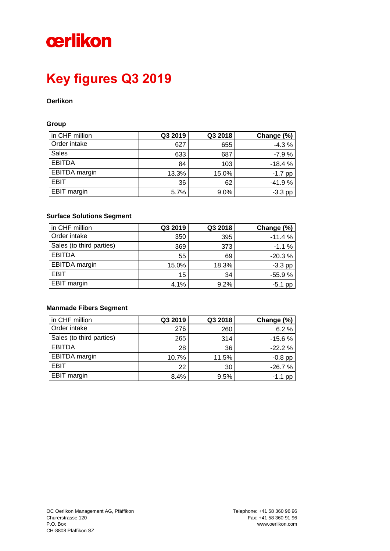# cerlikon

## **Key figures Q3 2019**

### **Oerlikon**

#### **Group**

| in CHF million       | Q3 2019 | Q3 2018 | Change (%) |
|----------------------|---------|---------|------------|
| Order intake         | 627     | 655     | $-4.3%$    |
| <b>Sales</b>         | 633     | 687     | $-7.9%$    |
| <b>EBITDA</b>        | 84      | 103     | $-18.4%$   |
| <b>EBITDA</b> margin | 13.3%   | 15.0%   | $-1.7$ pp  |
| <b>EBIT</b>          | 36      | 62      | $-41.9%$   |
| EBIT margin          | 5.7%    | 9.0%    | $-3.3$ pp  |

### **Surface Solutions Segment**

| in CHF million           | Q3 2019 | Q3 2018 | Change (%) |
|--------------------------|---------|---------|------------|
| Order intake             | 350     | 395     | $-11.4%$   |
| Sales (to third parties) | 369     | 373     | $-1.1%$    |
| <b>EBITDA</b>            | 55      | 69      | $-20.3%$   |
| <b>EBITDA</b> margin     | 15.0%   | 18.3%   | $-3.3$ pp  |
| <b>EBIT</b>              | 15      | 34      | $-55.9%$   |
| <b>EBIT margin</b>       | 4.1%    | 9.2%    | -5.1<br>pp |

### **Manmade Fibers Segment**

| in CHF million           | Q3 2019 | Q3 2018 | Change (%) |
|--------------------------|---------|---------|------------|
| Order intake             | 276     | 260     | 6.2%       |
| Sales (to third parties) | 265     | 314     | $-15.6%$   |
| <b>EBITDA</b>            | 28      | 36      | $-22.2%$   |
| <b>EBITDA</b> margin     | 10.7%   | 11.5%   | $-0.8$ pp  |
| EBIT                     | 22      | 30      | $-26.7%$   |
| <b>EBIT</b> margin       | 8.4%    | 9.5%    | $-1.1$ pp  |